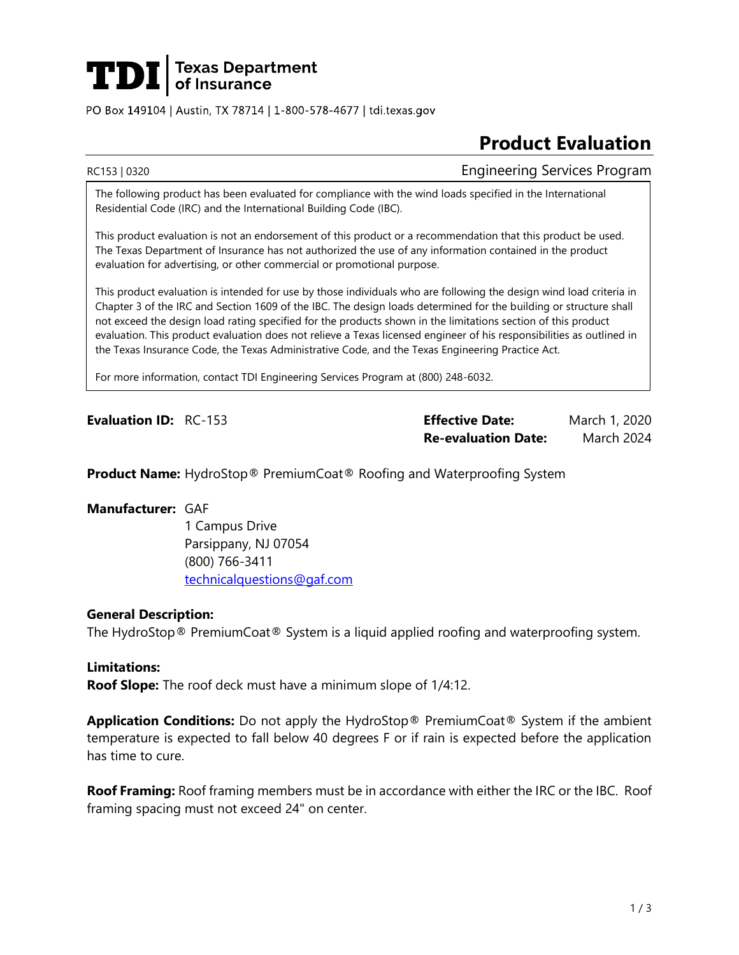

PO Box 149104 | Austin, TX 78714 | 1-800-578-4677 | tdi.texas.gov

# **Product Evaluation**

RC153 | 0320 **Engineering Services Program** 

The following product has been evaluated for compliance with the wind loads specified in the International Residential Code (IRC) and the International Building Code (IBC).

This product evaluation is not an endorsement of this product or a recommendation that this product be used. The Texas Department of Insurance has not authorized the use of any information contained in the product evaluation for advertising, or other commercial or promotional purpose.

This product evaluation is intended for use by those individuals who are following the design wind load criteria in Chapter 3 of the IRC and Section 1609 of the IBC. The design loads determined for the building or structure shall not exceed the design load rating specified for the products shown in the limitations section of this product evaluation. This product evaluation does not relieve a Texas licensed engineer of his responsibilities as outlined in the Texas Insurance Code, the Texas Administrative Code, and the Texas Engineering Practice Act.

For more information, contact TDI Engineering Services Program at (800) 248-6032.

**Evaluation ID:** RC-153 **Effective Date:** March 1, 2020 **Re-evaluation Date:** March 2024

**Product Name:** HydroStop® PremiumCoat® Roofing and Waterproofing System

# **Manufacturer:** GAF

1 Campus Drive Parsippany, NJ 07054 (800) 766-3411 [technicalquestions@gaf.com](mailto:technicalquestions@gaf.com)

### **General Description:**

The HydroStop® PremiumCoat® System is a liquid applied roofing and waterproofing system.

**Limitations: Roof Slope:** The roof deck must have a minimum slope of 1/4:12.

**Application Conditions:** Do not apply the HydroStop® PremiumCoat® System if the ambient temperature is expected to fall below 40 degrees F or if rain is expected before the application has time to cure.

**Roof Framing:** Roof framing members must be in accordance with either the IRC or the IBC. Roof framing spacing must not exceed 24" on center.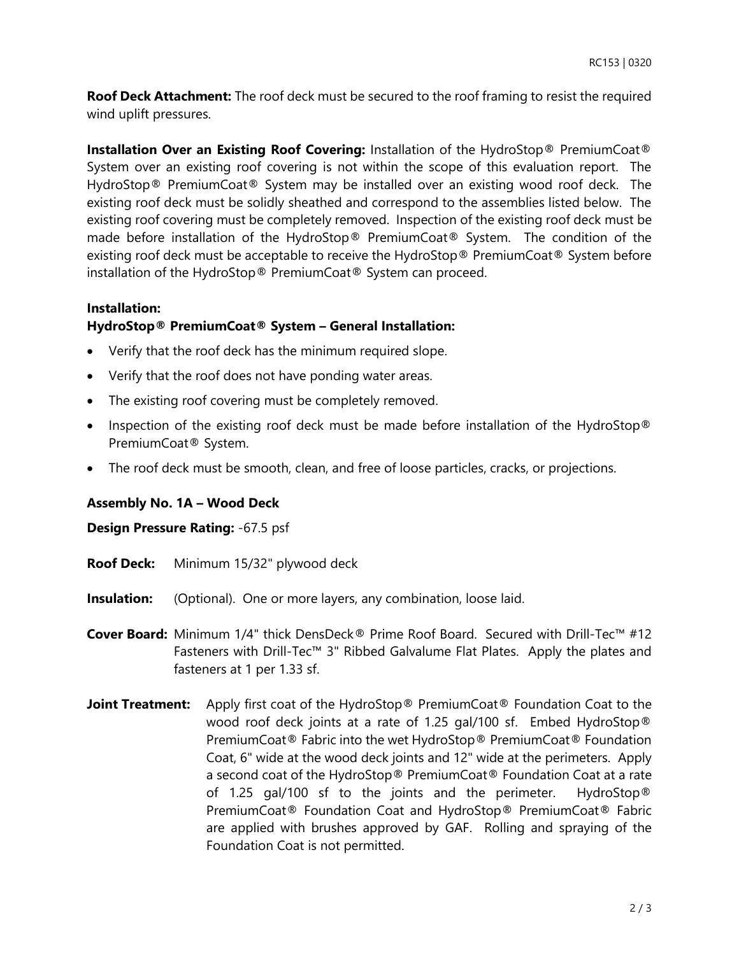**Roof Deck Attachment:** The roof deck must be secured to the roof framing to resist the required wind uplift pressures.

**Installation Over an Existing Roof Covering:** Installation of the HydroStop® PremiumCoat® System over an existing roof covering is not within the scope of this evaluation report. The HydroStop® PremiumCoat® System may be installed over an existing wood roof deck. The existing roof deck must be solidly sheathed and correspond to the assemblies listed below. The existing roof covering must be completely removed. Inspection of the existing roof deck must be made before installation of the HydroStop® PremiumCoat® System. The condition of the existing roof deck must be acceptable to receive the HydroStop® PremiumCoat® System before installation of the HydroStop® PremiumCoat® System can proceed.

# **Installation:**

# **HydroStop® PremiumCoat® System – General Installation:**

- Verify that the roof deck has the minimum required slope.
- Verify that the roof does not have ponding water areas.
- The existing roof covering must be completely removed.
- Inspection of the existing roof deck must be made before installation of the HydroStop® PremiumCoat® System.
- The roof deck must be smooth, clean, and free of loose particles, cracks, or projections.

### **Assembly No. 1A – Wood Deck**

### **Design Pressure Rating:** -67.5 psf

- **Roof Deck:** Minimum 15/32" plywood deck
- **Insulation:** (Optional). One or more layers, any combination, loose laid.
- **Cover Board:** Minimum 1/4" thick DensDeck® Prime Roof Board. Secured with Drill-Tec™ #12 Fasteners with Drill-Tec™ 3" Ribbed Galvalume Flat Plates. Apply the plates and fasteners at 1 per 1.33 sf.
- **Joint Treatment:** Apply first coat of the HydroStop<sup>®</sup> PremiumCoat<sup>®</sup> Foundation Coat to the wood roof deck joints at a rate of 1.25 gal/100 sf. Embed HydroStop® PremiumCoat® Fabric into the wet HydroStop® PremiumCoat® Foundation Coat, 6" wide at the wood deck joints and 12" wide at the perimeters. Apply a second coat of the HydroStop® PremiumCoat® Foundation Coat at a rate of 1.25 gal/100 sf to the joints and the perimeter. HydroStop® PremiumCoat® Foundation Coat and HydroStop® PremiumCoat® Fabric are applied with brushes approved by GAF. Rolling and spraying of the Foundation Coat is not permitted.